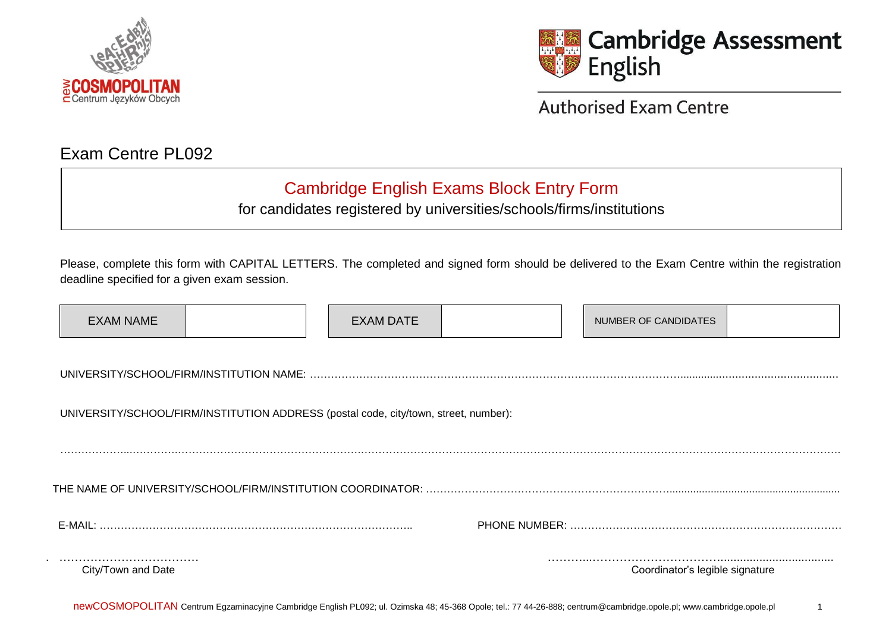



**Authorised Exam Centre** 

## Exam Centre PL092

## Cambridge English Exams Block Entry Form

for candidates registered by universities/schools/firms/institutions

Please, complete this form with CAPITAL LETTERS. The completed and signed form should be delivered to the Exam Centre within the registration deadline specified for a given exam session.

| <b>EXAM NAME</b>                                                                     |  |  | <b>EXAM DATE</b> |  |  | NUMBER OF CANDIDATES            |  |
|--------------------------------------------------------------------------------------|--|--|------------------|--|--|---------------------------------|--|
|                                                                                      |  |  |                  |  |  |                                 |  |
| UNIVERSITY/SCHOOL/FIRM/INSTITUTION ADDRESS (postal code, city/town, street, number): |  |  |                  |  |  |                                 |  |
|                                                                                      |  |  |                  |  |  |                                 |  |
|                                                                                      |  |  |                  |  |  |                                 |  |
|                                                                                      |  |  |                  |  |  |                                 |  |
| City/Town and Date                                                                   |  |  |                  |  |  | Coordinator's legible signature |  |